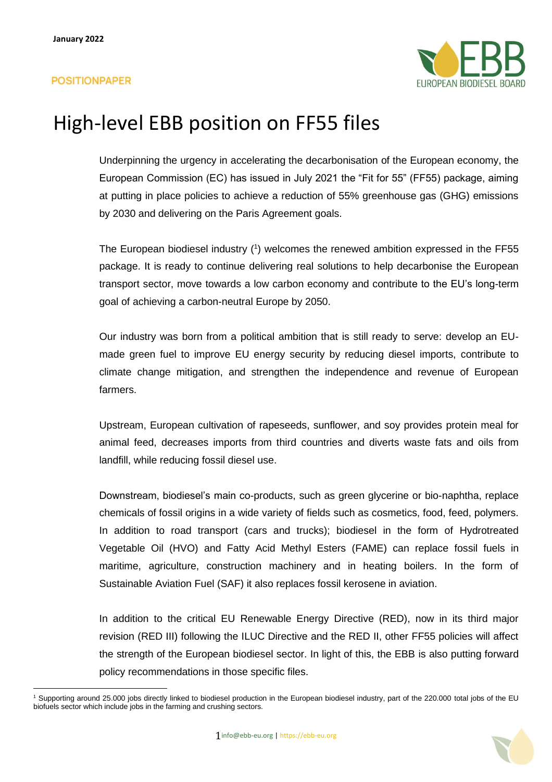

Underpinning the urgency in accelerating the decarbonisation of the European economy, the European Commission (EC) has issued in July 2021 the "Fit for 55" (FF55) package, aiming at putting in place policies to achieve a reduction of 55% greenhouse gas (GHG) emissions by 2030 and delivering on the Paris Agreement goals.

The European biodiesel industry (1) welcomes the renewed ambition expressed in the FF55 package. It is ready to continue delivering real solutions to help decarbonise the European transport sector, move towards a low carbon economy and contribute to the EU's long-term goal of achieving a carbon-neutral Europe by 2050.

Our industry was born from a political ambition that is still ready to serve: develop an EUmade green fuel to improve EU energy security by reducing diesel imports, contribute to climate change mitigation, and strengthen the independence and revenue of European farmers.

Upstream, European cultivation of rapeseeds, sunflower, and soy provides protein meal for animal feed, decreases imports from third countries and diverts waste fats and oils from landfill, while reducing fossil diesel use.

Downstream, biodiesel's main co-products, such as green glycerine or bio-naphtha, replace chemicals of fossil origins in a wide variety of fields such as cosmetics, food, feed, polymers. In addition to road transport (cars and trucks); biodiesel in the form of Hydrotreated Vegetable Oil (HVO) and Fatty Acid Methyl Esters (FAME) can replace fossil fuels in maritime, agriculture, construction machinery and in heating boilers. In the form of Sustainable Aviation Fuel (SAF) it also replaces fossil kerosene in aviation.

In addition to the critical EU Renewable Energy Directive (RED), now in its third major revision (RED III) following the ILUC Directive and the RED II, other FF55 policies will affect the strength of the European biodiesel sector. In light of this, the EBB is also putting forward policy recommendations in those specific files.



<sup>1</sup> Supporting around 25.000 jobs directly linked to biodiesel production in the European biodiesel industry, part of the 220.000 total jobs of the EU biofuels sector which include jobs in the farming and crushing sectors.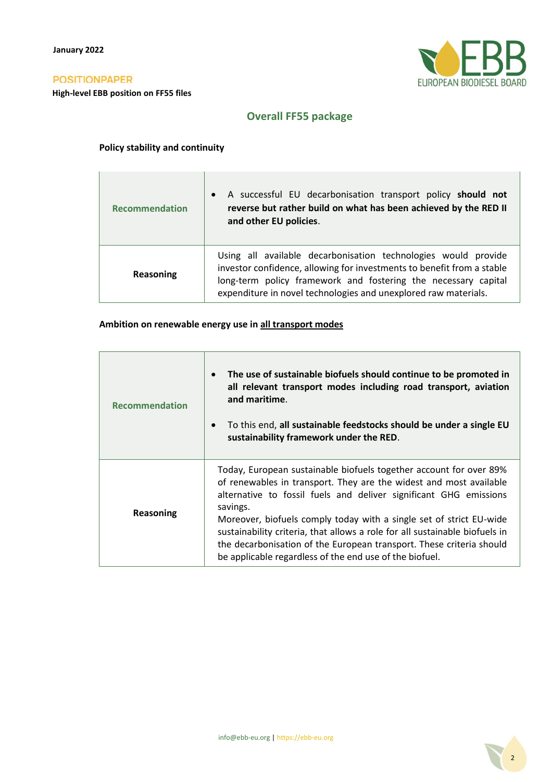$\Gamma$ 

**High-level EBB position on FF55 files**



## **Overall FF55 package**

### **Policy stability and continuity**

| <b>Recommendation</b> | A successful EU decarbonisation transport policy should not<br>$\bullet$<br>reverse but rather build on what has been achieved by the RED II<br>and other EU policies.                                                                                                        |
|-----------------------|-------------------------------------------------------------------------------------------------------------------------------------------------------------------------------------------------------------------------------------------------------------------------------|
| Reasoning             | Using all available decarbonisation technologies would provide<br>investor confidence, allowing for investments to benefit from a stable<br>long-term policy framework and fostering the necessary capital<br>expenditure in novel technologies and unexplored raw materials. |

### **Ambition on renewable energy use in all transport modes**

| <b>Recommendation</b> | The use of sustainable biofuels should continue to be promoted in<br>$\bullet$<br>all relevant transport modes including road transport, aviation<br>and maritime.<br>To this end, all sustainable feedstocks should be under a single EU<br>$\bullet$<br>sustainability framework under the RED.                                                                                                                                                                                                                  |
|-----------------------|--------------------------------------------------------------------------------------------------------------------------------------------------------------------------------------------------------------------------------------------------------------------------------------------------------------------------------------------------------------------------------------------------------------------------------------------------------------------------------------------------------------------|
| Reasoning             | Today, European sustainable biofuels together account for over 89%<br>of renewables in transport. They are the widest and most available<br>alternative to fossil fuels and deliver significant GHG emissions<br>savings.<br>Moreover, biofuels comply today with a single set of strict EU-wide<br>sustainability criteria, that allows a role for all sustainable biofuels in<br>the decarbonisation of the European transport. These criteria should<br>be applicable regardless of the end use of the biofuel. |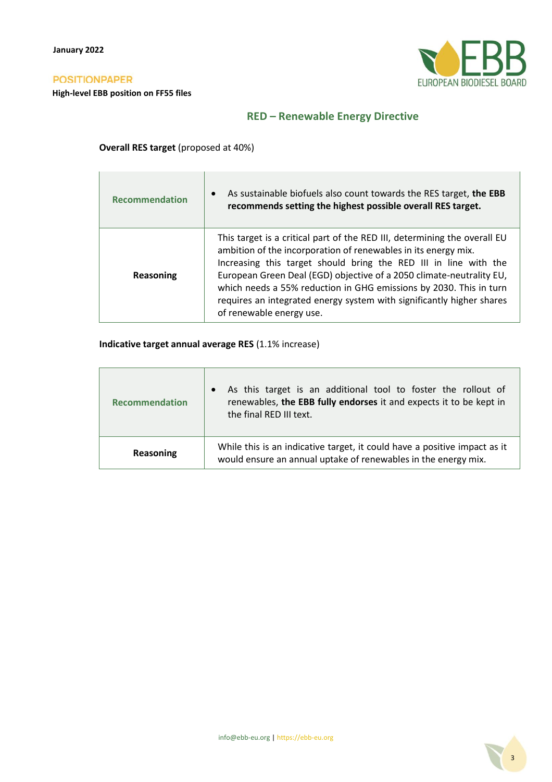**High-level EBB position on FF55 files**



## **RED – Renewable Energy Directive**

### **Overall RES target** (proposed at 40%)

| <b>Recommendation</b> | As sustainable biofuels also count towards the RES target, the EBB<br>$\bullet$<br>recommends setting the highest possible overall RES target.                                                                                                                                                                                                                                                                                                                     |
|-----------------------|--------------------------------------------------------------------------------------------------------------------------------------------------------------------------------------------------------------------------------------------------------------------------------------------------------------------------------------------------------------------------------------------------------------------------------------------------------------------|
| Reasoning             | This target is a critical part of the RED III, determining the overall EU<br>ambition of the incorporation of renewables in its energy mix.<br>Increasing this target should bring the RED III in line with the<br>European Green Deal (EGD) objective of a 2050 climate-neutrality EU,<br>which needs a 55% reduction in GHG emissions by 2030. This in turn<br>requires an integrated energy system with significantly higher shares<br>of renewable energy use. |

## **Indicative target annual average RES** (1.1% increase)

| <b>Recommendation</b> | As this target is an additional tool to foster the rollout of<br>renewables, the EBB fully endorses it and expects it to be kept in<br>the final RED III text. |
|-----------------------|----------------------------------------------------------------------------------------------------------------------------------------------------------------|
| Reasoning             | While this is an indicative target, it could have a positive impact as it<br>would ensure an annual uptake of renewables in the energy mix.                    |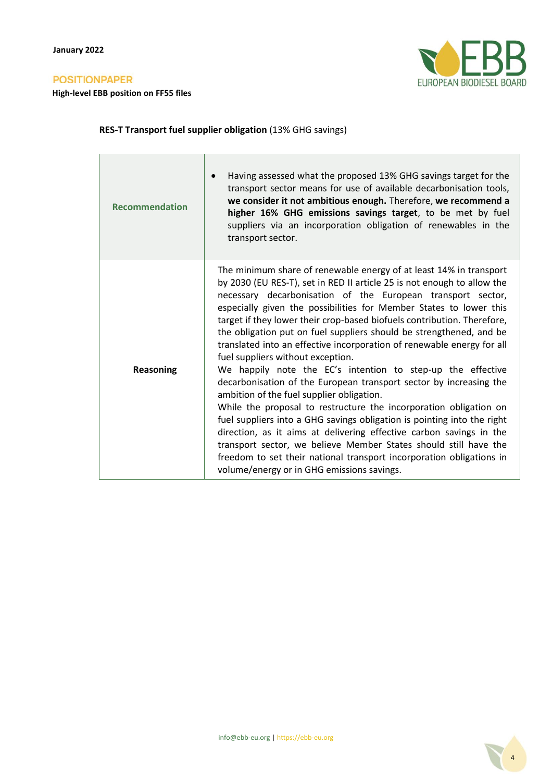**High-level EBB position on FF55 files**



## **RES-T Transport fuel supplier obligation** (13% GHG savings)

| <b>Recommendation</b> | Having assessed what the proposed 13% GHG savings target for the<br>transport sector means for use of available decarbonisation tools,<br>we consider it not ambitious enough. Therefore, we recommend a<br>higher 16% GHG emissions savings target, to be met by fuel<br>suppliers via an incorporation obligation of renewables in the<br>transport sector.                                                                                                                                                                                                                                                                                                                                                                                                                                                                                                                                                                                                                                                                                                                                                                                          |
|-----------------------|--------------------------------------------------------------------------------------------------------------------------------------------------------------------------------------------------------------------------------------------------------------------------------------------------------------------------------------------------------------------------------------------------------------------------------------------------------------------------------------------------------------------------------------------------------------------------------------------------------------------------------------------------------------------------------------------------------------------------------------------------------------------------------------------------------------------------------------------------------------------------------------------------------------------------------------------------------------------------------------------------------------------------------------------------------------------------------------------------------------------------------------------------------|
| <b>Reasoning</b>      | The minimum share of renewable energy of at least 14% in transport<br>by 2030 (EU RES-T), set in RED II article 25 is not enough to allow the<br>necessary decarbonisation of the European transport sector,<br>especially given the possibilities for Member States to lower this<br>target if they lower their crop-based biofuels contribution. Therefore,<br>the obligation put on fuel suppliers should be strengthened, and be<br>translated into an effective incorporation of renewable energy for all<br>fuel suppliers without exception.<br>We happily note the EC's intention to step-up the effective<br>decarbonisation of the European transport sector by increasing the<br>ambition of the fuel supplier obligation.<br>While the proposal to restructure the incorporation obligation on<br>fuel suppliers into a GHG savings obligation is pointing into the right<br>direction, as it aims at delivering effective carbon savings in the<br>transport sector, we believe Member States should still have the<br>freedom to set their national transport incorporation obligations in<br>volume/energy or in GHG emissions savings. |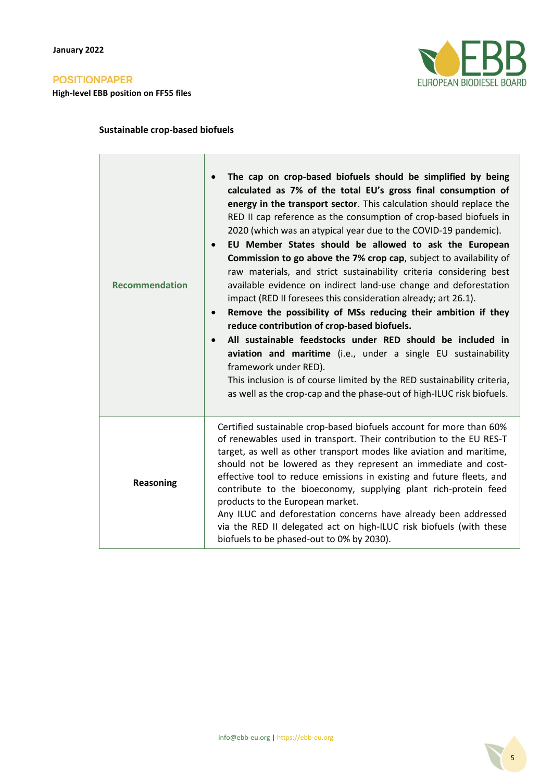**High-level EBB position on FF55 files**



## **Sustainable crop-based biofuels**

| <b>Recommendation</b> | The cap on crop-based biofuels should be simplified by being<br>$\bullet$<br>calculated as 7% of the total EU's gross final consumption of<br>energy in the transport sector. This calculation should replace the<br>RED II cap reference as the consumption of crop-based biofuels in<br>2020 (which was an atypical year due to the COVID-19 pandemic).<br>EU Member States should be allowed to ask the European<br>$\bullet$<br>Commission to go above the 7% crop cap, subject to availability of<br>raw materials, and strict sustainability criteria considering best<br>available evidence on indirect land-use change and deforestation<br>impact (RED II foresees this consideration already; art 26.1).<br>Remove the possibility of MSs reducing their ambition if they<br>$\bullet$<br>reduce contribution of crop-based biofuels.<br>All sustainable feedstocks under RED should be included in<br>$\bullet$<br>aviation and maritime (i.e., under a single EU sustainability<br>framework under RED).<br>This inclusion is of course limited by the RED sustainability criteria,<br>as well as the crop-cap and the phase-out of high-ILUC risk biofuels. |
|-----------------------|--------------------------------------------------------------------------------------------------------------------------------------------------------------------------------------------------------------------------------------------------------------------------------------------------------------------------------------------------------------------------------------------------------------------------------------------------------------------------------------------------------------------------------------------------------------------------------------------------------------------------------------------------------------------------------------------------------------------------------------------------------------------------------------------------------------------------------------------------------------------------------------------------------------------------------------------------------------------------------------------------------------------------------------------------------------------------------------------------------------------------------------------------------------------------|
| <b>Reasoning</b>      | Certified sustainable crop-based biofuels account for more than 60%<br>of renewables used in transport. Their contribution to the EU RES-T<br>target, as well as other transport modes like aviation and maritime,<br>should not be lowered as they represent an immediate and cost-<br>effective tool to reduce emissions in existing and future fleets, and<br>contribute to the bioeconomy, supplying plant rich-protein feed<br>products to the European market.<br>Any ILUC and deforestation concerns have already been addressed<br>via the RED II delegated act on high-ILUC risk biofuels (with these<br>biofuels to be phased-out to 0% by 2030).                                                                                                                                                                                                                                                                                                                                                                                                                                                                                                              |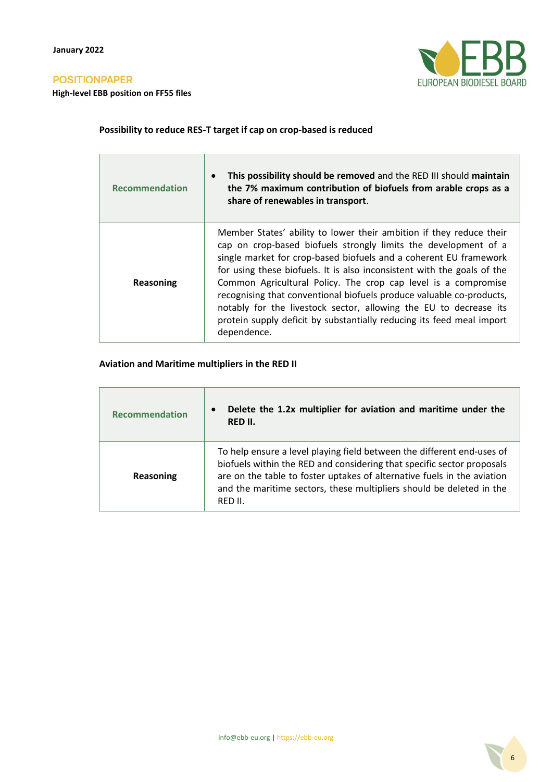**High-level EBB position on FF55 files**



## **Possibility to reduce RES-T target if cap on crop-based is reduced**

| <b>Recommendation</b> | This possibility should be removed and the RED III should maintain<br>the 7% maximum contribution of biofuels from arable crops as a<br>share of renewables in transport.                                                                                                                                                                                                                                                                                                                                                                                                                     |
|-----------------------|-----------------------------------------------------------------------------------------------------------------------------------------------------------------------------------------------------------------------------------------------------------------------------------------------------------------------------------------------------------------------------------------------------------------------------------------------------------------------------------------------------------------------------------------------------------------------------------------------|
| Reasoning             | Member States' ability to lower their ambition if they reduce their<br>cap on crop-based biofuels strongly limits the development of a<br>single market for crop-based biofuels and a coherent EU framework<br>for using these biofuels. It is also inconsistent with the goals of the<br>Common Agricultural Policy. The crop cap level is a compromise<br>recognising that conventional biofuels produce valuable co-products,<br>notably for the livestock sector, allowing the EU to decrease its<br>protein supply deficit by substantially reducing its feed meal import<br>dependence. |

#### **Aviation and Maritime multipliers in the RED II**

| <b>Recommendation</b> | Delete the 1.2x multiplier for aviation and maritime under the<br>$\bullet$<br>RED II.                                                                                                                                                                                                                         |
|-----------------------|----------------------------------------------------------------------------------------------------------------------------------------------------------------------------------------------------------------------------------------------------------------------------------------------------------------|
| Reasoning             | To help ensure a level playing field between the different end-uses of<br>biofuels within the RED and considering that specific sector proposals<br>are on the table to foster uptakes of alternative fuels in the aviation<br>and the maritime sectors, these multipliers should be deleted in the<br>RED II. |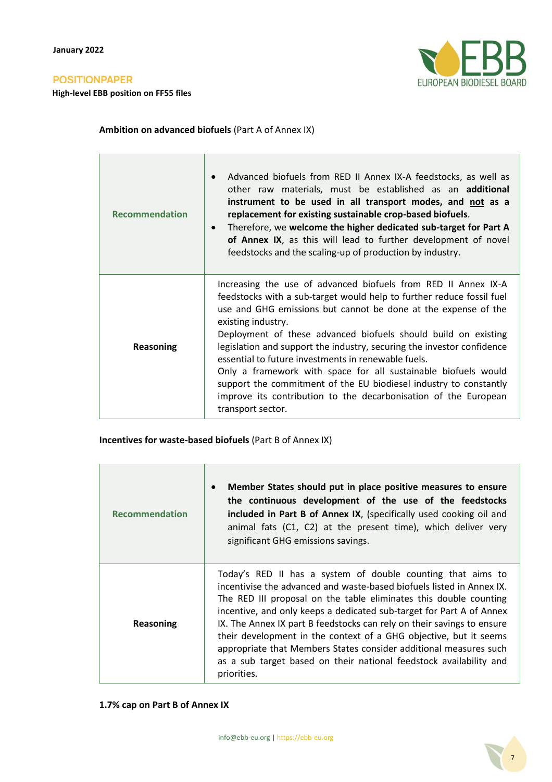**High-level EBB position on FF55 files**



#### **Ambition on advanced biofuels** (Part A of Annex IX)

| <b>Recommendation</b> | Advanced biofuels from RED II Annex IX-A feedstocks, as well as<br>other raw materials, must be established as an <b>additional</b><br>instrument to be used in all transport modes, and not as a<br>replacement for existing sustainable crop-based biofuels.<br>Therefore, we welcome the higher dedicated sub-target for Part A<br>$\bullet$<br>of Annex IX, as this will lead to further development of novel<br>feedstocks and the scaling-up of production by industry.                                                                                                                                                                                     |
|-----------------------|-------------------------------------------------------------------------------------------------------------------------------------------------------------------------------------------------------------------------------------------------------------------------------------------------------------------------------------------------------------------------------------------------------------------------------------------------------------------------------------------------------------------------------------------------------------------------------------------------------------------------------------------------------------------|
| Reasoning             | Increasing the use of advanced biofuels from RED II Annex IX-A<br>feedstocks with a sub-target would help to further reduce fossil fuel<br>use and GHG emissions but cannot be done at the expense of the<br>existing industry.<br>Deployment of these advanced biofuels should build on existing<br>legislation and support the industry, securing the investor confidence<br>essential to future investments in renewable fuels.<br>Only a framework with space for all sustainable biofuels would<br>support the commitment of the EU biodiesel industry to constantly<br>improve its contribution to the decarbonisation of the European<br>transport sector. |

**Incentives for waste-based biofuels** (Part B of Annex IX)

| <b>Recommendation</b> | Member States should put in place positive measures to ensure<br>$\bullet$<br>the continuous development of the use of the feedstocks<br>included in Part B of Annex IX, (specifically used cooking oil and<br>animal fats (C1, C2) at the present time), which deliver very<br>significant GHG emissions savings.                                                                                                                                                                                                                                                                         |
|-----------------------|--------------------------------------------------------------------------------------------------------------------------------------------------------------------------------------------------------------------------------------------------------------------------------------------------------------------------------------------------------------------------------------------------------------------------------------------------------------------------------------------------------------------------------------------------------------------------------------------|
| Reasoning             | Today's RED II has a system of double counting that aims to<br>incentivise the advanced and waste-based biofuels listed in Annex IX.<br>The RED III proposal on the table eliminates this double counting<br>incentive, and only keeps a dedicated sub-target for Part A of Annex<br>IX. The Annex IX part B feedstocks can rely on their savings to ensure<br>their development in the context of a GHG objective, but it seems<br>appropriate that Members States consider additional measures such<br>as a sub target based on their national feedstock availability and<br>priorities. |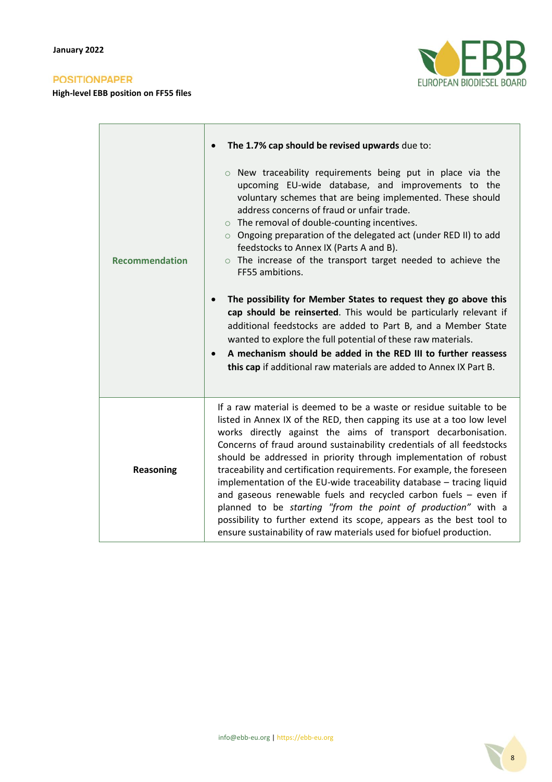**High-level EBB position on FF55 files**



|                       | The 1.7% cap should be revised upwards due to:                                                                                                                                                                                                                                                                                                                                                                                                                                                                                                                                                                                                                                                                                                                                                    |
|-----------------------|---------------------------------------------------------------------------------------------------------------------------------------------------------------------------------------------------------------------------------------------------------------------------------------------------------------------------------------------------------------------------------------------------------------------------------------------------------------------------------------------------------------------------------------------------------------------------------------------------------------------------------------------------------------------------------------------------------------------------------------------------------------------------------------------------|
| <b>Recommendation</b> | $\circ$ New traceability requirements being put in place via the<br>upcoming EU-wide database, and improvements to the<br>voluntary schemes that are being implemented. These should<br>address concerns of fraud or unfair trade.<br>$\circ$ The removal of double-counting incentives.<br>○ Ongoing preparation of the delegated act (under RED II) to add<br>feedstocks to Annex IX (Parts A and B).<br>$\circ$ The increase of the transport target needed to achieve the<br>FF55 ambitions.                                                                                                                                                                                                                                                                                                  |
|                       | The possibility for Member States to request they go above this<br>$\bullet$<br>cap should be reinserted. This would be particularly relevant if<br>additional feedstocks are added to Part B, and a Member State<br>wanted to explore the full potential of these raw materials.<br>A mechanism should be added in the RED III to further reassess<br>$\bullet$<br>this cap if additional raw materials are added to Annex IX Part B.                                                                                                                                                                                                                                                                                                                                                            |
| Reasoning             | If a raw material is deemed to be a waste or residue suitable to be<br>listed in Annex IX of the RED, then capping its use at a too low level<br>works directly against the aims of transport decarbonisation.<br>Concerns of fraud around sustainability credentials of all feedstocks<br>should be addressed in priority through implementation of robust<br>traceability and certification requirements. For example, the foreseen<br>implementation of the EU-wide traceability database - tracing liquid<br>and gaseous renewable fuels and recycled carbon fuels $-$ even if<br>planned to be starting "from the point of production" with a<br>possibility to further extend its scope, appears as the best tool to<br>ensure sustainability of raw materials used for biofuel production. |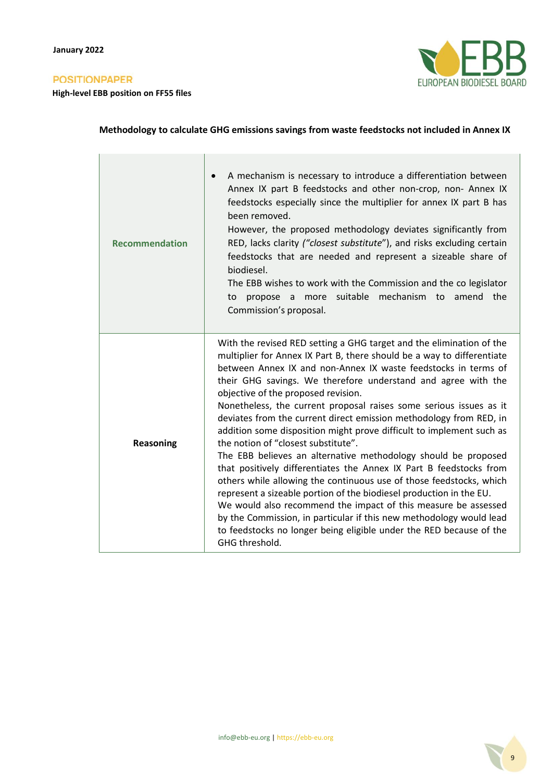**High-level EBB position on FF55 files**



## **Methodology to calculate GHG emissions savings from waste feedstocks not included in Annex IX**

| <b>Recommendation</b> | A mechanism is necessary to introduce a differentiation between<br>Annex IX part B feedstocks and other non-crop, non- Annex IX<br>feedstocks especially since the multiplier for annex IX part B has<br>been removed.<br>However, the proposed methodology deviates significantly from<br>RED, lacks clarity ("closest substitute"), and risks excluding certain<br>feedstocks that are needed and represent a sizeable share of<br>biodiesel.<br>The EBB wishes to work with the Commission and the co legislator<br>more suitable mechanism to amend the<br>propose a<br>to<br>Commission's proposal.                                                                                                                                                                                                                                                                                                                                                                                                                                                                                                    |
|-----------------------|-------------------------------------------------------------------------------------------------------------------------------------------------------------------------------------------------------------------------------------------------------------------------------------------------------------------------------------------------------------------------------------------------------------------------------------------------------------------------------------------------------------------------------------------------------------------------------------------------------------------------------------------------------------------------------------------------------------------------------------------------------------------------------------------------------------------------------------------------------------------------------------------------------------------------------------------------------------------------------------------------------------------------------------------------------------------------------------------------------------|
| <b>Reasoning</b>      | With the revised RED setting a GHG target and the elimination of the<br>multiplier for Annex IX Part B, there should be a way to differentiate<br>between Annex IX and non-Annex IX waste feedstocks in terms of<br>their GHG savings. We therefore understand and agree with the<br>objective of the proposed revision.<br>Nonetheless, the current proposal raises some serious issues as it<br>deviates from the current direct emission methodology from RED, in<br>addition some disposition might prove difficult to implement such as<br>the notion of "closest substitute".<br>The EBB believes an alternative methodology should be proposed<br>that positively differentiates the Annex IX Part B feedstocks from<br>others while allowing the continuous use of those feedstocks, which<br>represent a sizeable portion of the biodiesel production in the EU.<br>We would also recommend the impact of this measure be assessed<br>by the Commission, in particular if this new methodology would lead<br>to feedstocks no longer being eligible under the RED because of the<br>GHG threshold. |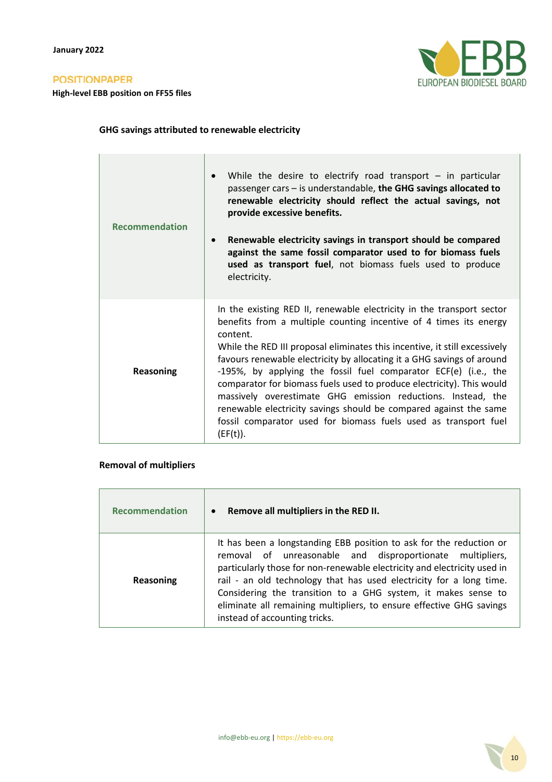**High-level EBB position on FF55 files**



## **GHG savings attributed to renewable electricity**

| <b>Recommendation</b> | While the desire to electrify road transport $-$ in particular<br>$\bullet$<br>passenger cars - is understandable, the GHG savings allocated to<br>renewable electricity should reflect the actual savings, not<br>provide excessive benefits.<br>Renewable electricity savings in transport should be compared<br>$\bullet$<br>against the same fossil comparator used to for biomass fuels<br>used as transport fuel, not biomass fuels used to produce<br>electricity.                                                                                                                                                                                                      |
|-----------------------|--------------------------------------------------------------------------------------------------------------------------------------------------------------------------------------------------------------------------------------------------------------------------------------------------------------------------------------------------------------------------------------------------------------------------------------------------------------------------------------------------------------------------------------------------------------------------------------------------------------------------------------------------------------------------------|
| <b>Reasoning</b>      | In the existing RED II, renewable electricity in the transport sector<br>benefits from a multiple counting incentive of 4 times its energy<br>content.<br>While the RED III proposal eliminates this incentive, it still excessively<br>favours renewable electricity by allocating it a GHG savings of around<br>-195%, by applying the fossil fuel comparator ECF(e) (i.e., the<br>comparator for biomass fuels used to produce electricity). This would<br>massively overestimate GHG emission reductions. Instead, the<br>renewable electricity savings should be compared against the same<br>fossil comparator used for biomass fuels used as transport fuel<br>(EF(t)). |

#### **Removal of multipliers**

| <b>Recommendation</b> | Remove all multipliers in the RED II.<br>$\bullet$                                                                                                                                                                                                                                                                                                                                                                                                            |
|-----------------------|---------------------------------------------------------------------------------------------------------------------------------------------------------------------------------------------------------------------------------------------------------------------------------------------------------------------------------------------------------------------------------------------------------------------------------------------------------------|
| Reasoning             | It has been a longstanding EBB position to ask for the reduction or<br>removal of unreasonable and disproportionate multipliers,<br>particularly those for non-renewable electricity and electricity used in<br>rail - an old technology that has used electricity for a long time.<br>Considering the transition to a GHG system, it makes sense to<br>eliminate all remaining multipliers, to ensure effective GHG savings<br>instead of accounting tricks. |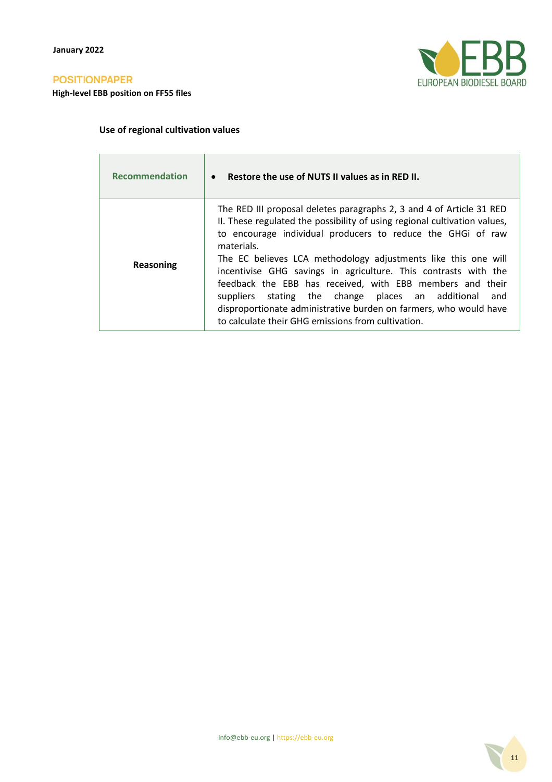**High-level EBB position on FF55 files**



## **Use of regional cultivation values**

| <b>Recommendation</b> | Restore the use of NUTS II values as in RED II.<br>$\bullet$                                                                                                                                                                                                                                                                                                                                                                                                                                                                                                                                                               |
|-----------------------|----------------------------------------------------------------------------------------------------------------------------------------------------------------------------------------------------------------------------------------------------------------------------------------------------------------------------------------------------------------------------------------------------------------------------------------------------------------------------------------------------------------------------------------------------------------------------------------------------------------------------|
| Reasoning             | The RED III proposal deletes paragraphs 2, 3 and 4 of Article 31 RED<br>II. These regulated the possibility of using regional cultivation values,<br>to encourage individual producers to reduce the GHGi of raw<br>materials.<br>The EC believes LCA methodology adjustments like this one will<br>incentivise GHG savings in agriculture. This contrasts with the<br>feedback the EBB has received, with EBB members and their<br>stating the change places an additional<br>suppliers<br>and<br>disproportionate administrative burden on farmers, who would have<br>to calculate their GHG emissions from cultivation. |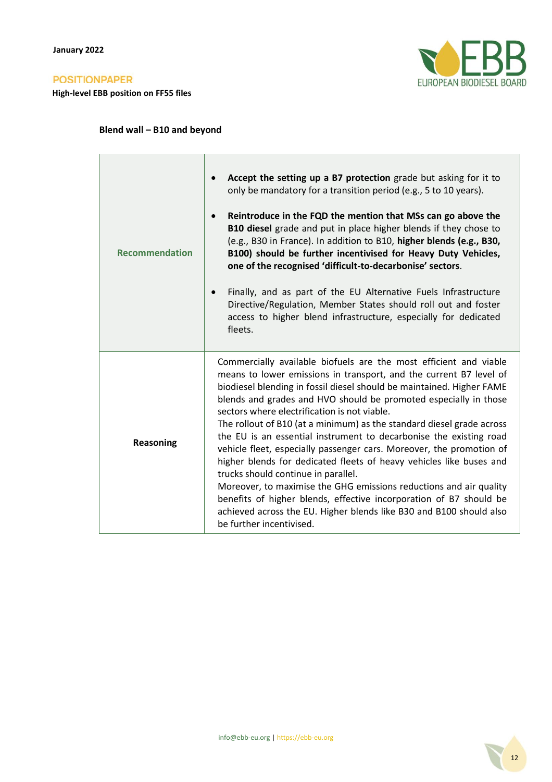**High-level EBB position on FF55 files**



## **Blend wall – B10 and beyond**

| <b>Recommendation</b> | Accept the setting up a B7 protection grade but asking for it to<br>$\bullet$<br>only be mandatory for a transition period (e.g., 5 to 10 years).<br>Reintroduce in the FQD the mention that MSs can go above the<br>$\bullet$<br>B10 diesel grade and put in place higher blends if they chose to<br>(e.g., B30 in France). In addition to B10, higher blends (e.g., B30,<br>B100) should be further incentivised for Heavy Duty Vehicles,<br>one of the recognised 'difficult-to-decarbonise' sectors.<br>Finally, and as part of the EU Alternative Fuels Infrastructure<br>$\bullet$<br>Directive/Regulation, Member States should roll out and foster<br>access to higher blend infrastructure, especially for dedicated<br>fleets.                                                                                                                                                                                 |
|-----------------------|--------------------------------------------------------------------------------------------------------------------------------------------------------------------------------------------------------------------------------------------------------------------------------------------------------------------------------------------------------------------------------------------------------------------------------------------------------------------------------------------------------------------------------------------------------------------------------------------------------------------------------------------------------------------------------------------------------------------------------------------------------------------------------------------------------------------------------------------------------------------------------------------------------------------------|
| <b>Reasoning</b>      | Commercially available biofuels are the most efficient and viable<br>means to lower emissions in transport, and the current B7 level of<br>biodiesel blending in fossil diesel should be maintained. Higher FAME<br>blends and grades and HVO should be promoted especially in those<br>sectors where electrification is not viable.<br>The rollout of B10 (at a minimum) as the standard diesel grade across<br>the EU is an essential instrument to decarbonise the existing road<br>vehicle fleet, especially passenger cars. Moreover, the promotion of<br>higher blends for dedicated fleets of heavy vehicles like buses and<br>trucks should continue in parallel.<br>Moreover, to maximise the GHG emissions reductions and air quality<br>benefits of higher blends, effective incorporation of B7 should be<br>achieved across the EU. Higher blends like B30 and B100 should also<br>be further incentivised. |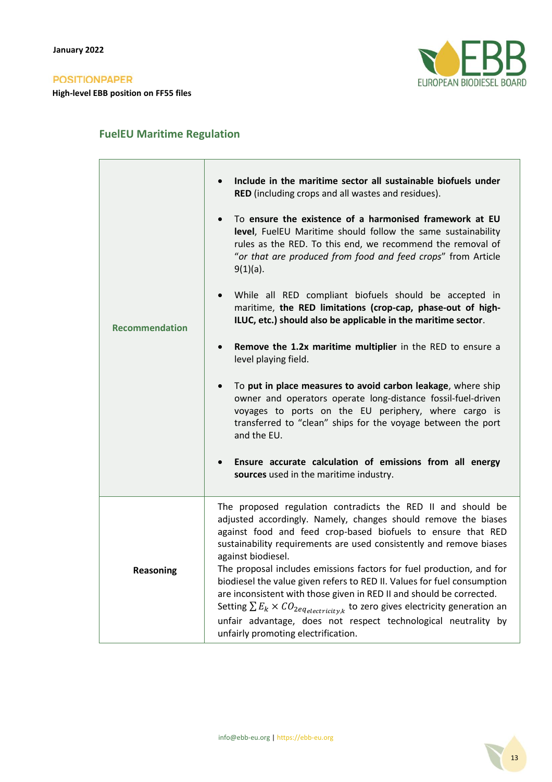

## **FuelEU Maritime Regulation**

| <b>Recommendation</b> | Include in the maritime sector all sustainable biofuels under<br>RED (including crops and all wastes and residues).<br>To ensure the existence of a harmonised framework at EU<br>$\bullet$<br>level, FuelEU Maritime should follow the same sustainability<br>rules as the RED. To this end, we recommend the removal of<br>"or that are produced from food and feed crops" from Article<br>$9(1)(a)$ .<br>While all RED compliant biofuels should be accepted in<br>maritime, the RED limitations (crop-cap, phase-out of high-<br>ILUC, etc.) should also be applicable in the maritime sector.<br>Remove the 1.2x maritime multiplier in the RED to ensure a<br>level playing field.<br>To put in place measures to avoid carbon leakage, where ship<br>owner and operators operate long-distance fossil-fuel-driven<br>voyages to ports on the EU periphery, where cargo is<br>transferred to "clean" ships for the voyage between the port<br>and the EU.<br>Ensure accurate calculation of emissions from all energy<br>$\bullet$<br>sources used in the maritime industry. |
|-----------------------|------------------------------------------------------------------------------------------------------------------------------------------------------------------------------------------------------------------------------------------------------------------------------------------------------------------------------------------------------------------------------------------------------------------------------------------------------------------------------------------------------------------------------------------------------------------------------------------------------------------------------------------------------------------------------------------------------------------------------------------------------------------------------------------------------------------------------------------------------------------------------------------------------------------------------------------------------------------------------------------------------------------------------------------------------------------------------------|
| <b>Reasoning</b>      | The proposed regulation contradicts the RED II and should be<br>adjusted accordingly. Namely, changes should remove the biases<br>against food and feed crop-based biofuels to ensure that RED<br>sustainability requirements are used consistently and remove biases<br>against biodiesel.<br>The proposal includes emissions factors for fuel production, and for<br>biodiesel the value given refers to RED II. Values for fuel consumption<br>are inconsistent with those given in RED II and should be corrected.<br>Setting $\sum E_k \times CO_{2eq_{electricity,k}}$ to zero gives electricity generation an<br>unfair advantage, does not respect technological neutrality by<br>unfairly promoting electrification.                                                                                                                                                                                                                                                                                                                                                      |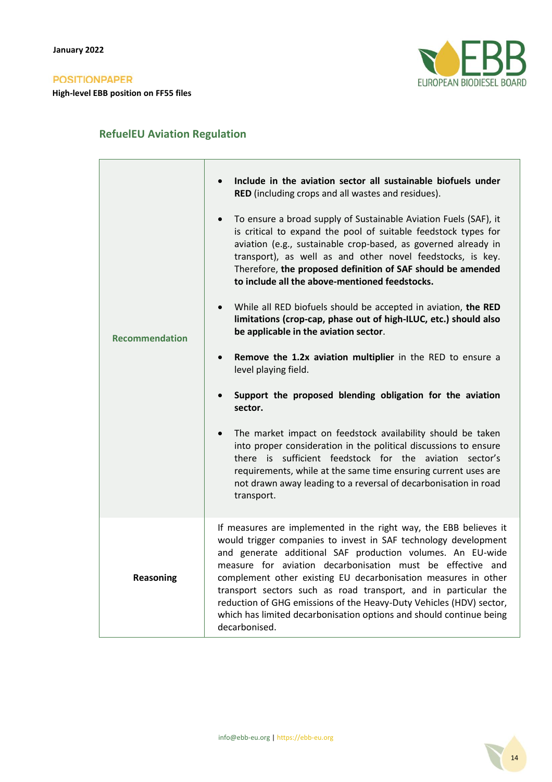

## **RefuelEU Aviation Regulation**

| <b>Recommendation</b> | Include in the aviation sector all sustainable biofuels under<br>RED (including crops and all wastes and residues).<br>To ensure a broad supply of Sustainable Aviation Fuels (SAF), it<br>is critical to expand the pool of suitable feedstock types for<br>aviation (e.g., sustainable crop-based, as governed already in<br>transport), as well as and other novel feedstocks, is key.<br>Therefore, the proposed definition of SAF should be amended<br>to include all the above-mentioned feedstocks.<br>While all RED biofuels should be accepted in aviation, the RED<br>$\bullet$<br>limitations (crop-cap, phase out of high-ILUC, etc.) should also<br>be applicable in the aviation sector.<br>Remove the 1.2x aviation multiplier in the RED to ensure a<br>$\bullet$<br>level playing field.<br>Support the proposed blending obligation for the aviation<br>sector.<br>The market impact on feedstock availability should be taken<br>$\bullet$<br>into proper consideration in the political discussions to ensure<br>there is sufficient feedstock for the aviation sector's<br>requirements, while at the same time ensuring current uses are<br>not drawn away leading to a reversal of decarbonisation in road<br>transport. |
|-----------------------|-------------------------------------------------------------------------------------------------------------------------------------------------------------------------------------------------------------------------------------------------------------------------------------------------------------------------------------------------------------------------------------------------------------------------------------------------------------------------------------------------------------------------------------------------------------------------------------------------------------------------------------------------------------------------------------------------------------------------------------------------------------------------------------------------------------------------------------------------------------------------------------------------------------------------------------------------------------------------------------------------------------------------------------------------------------------------------------------------------------------------------------------------------------------------------------------------------------------------------------------------|
| <b>Reasoning</b>      | If measures are implemented in the right way, the EBB believes it<br>would trigger companies to invest in SAF technology development<br>and generate additional SAF production volumes. An EU-wide<br>measure for aviation decarbonisation must be effective and<br>complement other existing EU decarbonisation measures in other<br>transport sectors such as road transport, and in particular the<br>reduction of GHG emissions of the Heavy-Duty Vehicles (HDV) sector,<br>which has limited decarbonisation options and should continue being<br>decarbonised.                                                                                                                                                                                                                                                                                                                                                                                                                                                                                                                                                                                                                                                                            |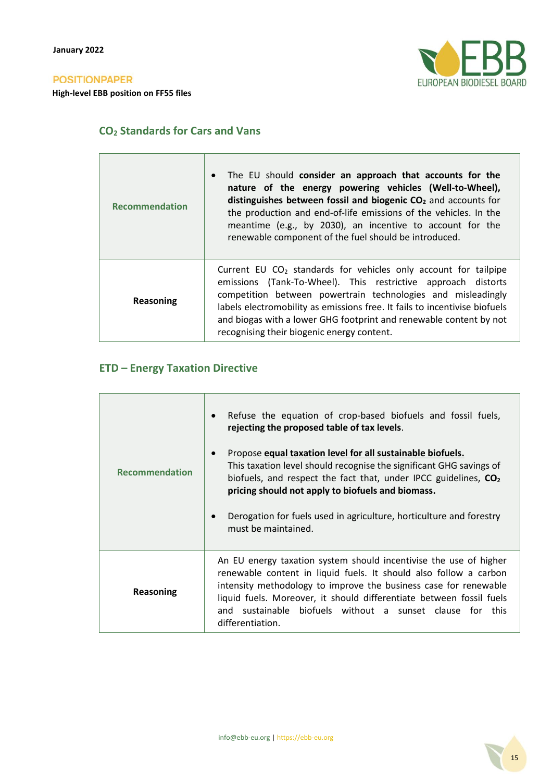**High-level EBB position on FF55 files**



## **CO<sup>2</sup> Standards for Cars and Vans**

| <b>Recommendation</b> | The EU should consider an approach that accounts for the<br>$\bullet$<br>nature of the energy powering vehicles (Well-to-Wheel),<br>distinguishes between fossil and biogenic $CO2$ and accounts for<br>the production and end-of-life emissions of the vehicles. In the<br>meantime (e.g., by 2030), an incentive to account for the<br>renewable component of the fuel should be introduced.       |
|-----------------------|------------------------------------------------------------------------------------------------------------------------------------------------------------------------------------------------------------------------------------------------------------------------------------------------------------------------------------------------------------------------------------------------------|
| Reasoning             | Current EU $CO2$ standards for vehicles only account for tailpipe<br>emissions (Tank-To-Wheel). This restrictive approach distorts<br>competition between powertrain technologies and misleadingly<br>labels electromobility as emissions free. It fails to incentivise biofuels<br>and biogas with a lower GHG footprint and renewable content by not<br>recognising their biogenic energy content. |

## **ETD – Energy Taxation Directive**

| <b>Recommendation</b> | Refuse the equation of crop-based biofuels and fossil fuels,<br>$\bullet$<br>rejecting the proposed table of tax levels.<br>Propose equal taxation level for all sustainable biofuels.<br>$\bullet$<br>This taxation level should recognise the significant GHG savings of<br>biofuels, and respect the fact that, under IPCC guidelines, CO <sub>2</sub><br>pricing should not apply to biofuels and biomass.<br>Derogation for fuels used in agriculture, horticulture and forestry<br>$\bullet$<br>must be maintained. |
|-----------------------|---------------------------------------------------------------------------------------------------------------------------------------------------------------------------------------------------------------------------------------------------------------------------------------------------------------------------------------------------------------------------------------------------------------------------------------------------------------------------------------------------------------------------|
| Reasoning             | An EU energy taxation system should incentivise the use of higher<br>renewable content in liquid fuels. It should also follow a carbon<br>intensity methodology to improve the business case for renewable<br>liquid fuels. Moreover, it should differentiate between fossil fuels<br>and sustainable biofuels without a sunset clause for this<br>differentiation.                                                                                                                                                       |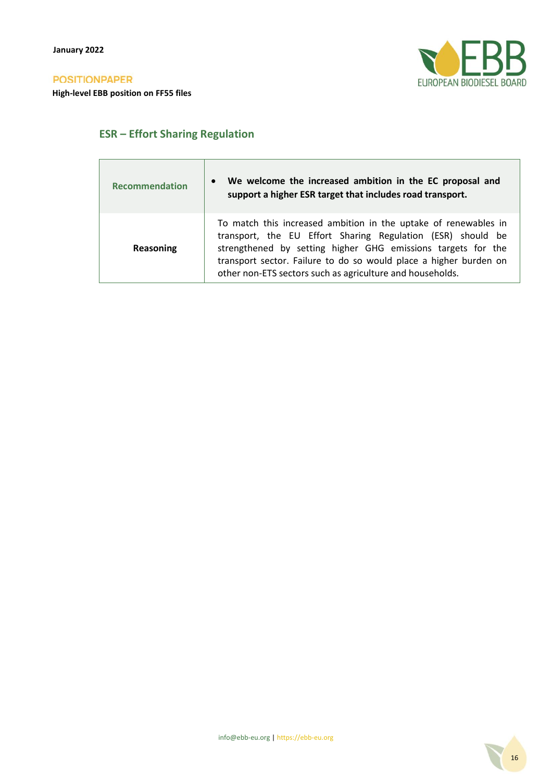

## **ESR – Effort Sharing Regulation**

| <b>Recommendation</b> | We welcome the increased ambition in the EC proposal and<br>$\bullet$<br>support a higher ESR target that includes road transport.                                                                                                                                                                                               |
|-----------------------|----------------------------------------------------------------------------------------------------------------------------------------------------------------------------------------------------------------------------------------------------------------------------------------------------------------------------------|
| Reasoning             | To match this increased ambition in the uptake of renewables in<br>transport, the EU Effort Sharing Regulation (ESR) should be<br>strengthened by setting higher GHG emissions targets for the<br>transport sector. Failure to do so would place a higher burden on<br>other non-ETS sectors such as agriculture and households. |